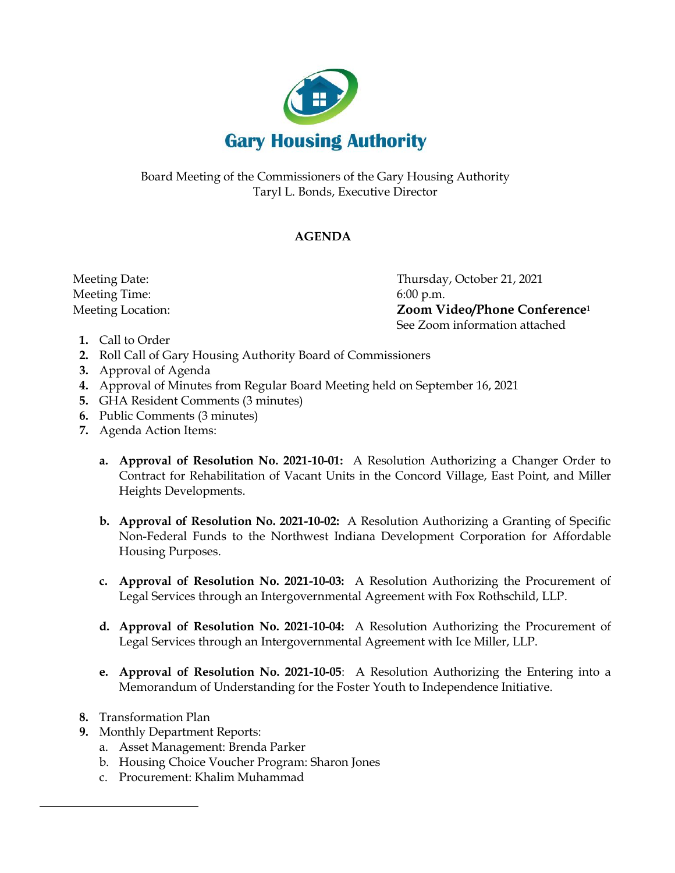

Board Meeting of the Commissioners of the Gary Housing Authority Taryl L. Bonds, Executive Director

## **AGENDA**

Meeting Time: 6:00 p.m.

 Meeting Date: Thursday, October 21, 2021 Meeting Location: **Zoom Video/Phone Conference**<sup>1</sup> See Zoom information attached

- **1.** Call to Order
- **2.** Roll Call of Gary Housing Authority Board of Commissioners
- **3.** Approval of Agenda
- **4.** Approval of Minutes from Regular Board Meeting held on September 16, 2021
- **5.** GHA Resident Comments (3 minutes)
- **6.** Public Comments (3 minutes)
- **7.** Agenda Action Items:
	- **a. Approval of Resolution No. 2021-10-01:** A Resolution Authorizing a Changer Order to Contract for Rehabilitation of Vacant Units in the Concord Village, East Point, and Miller Heights Developments.
	- **b. Approval of Resolution No. 2021-10-02:** A Resolution Authorizing a Granting of Specific Non-Federal Funds to the Northwest Indiana Development Corporation for Affordable Housing Purposes.
	- **c. Approval of Resolution No. 2021-10-03:** A Resolution Authorizing the Procurement of Legal Services through an Intergovernmental Agreement with Fox Rothschild, LLP.
	- **d. Approval of Resolution No. 2021-10-04:** A Resolution Authorizing the Procurement of Legal Services through an Intergovernmental Agreement with Ice Miller, LLP.
	- **e. Approval of Resolution No. 2021-10-05**: A Resolution Authorizing the Entering into a Memorandum of Understanding for the Foster Youth to Independence Initiative.
- **8.** Transformation Plan
- **9.** Monthly Department Reports:
	- a. Asset Management: Brenda Parker
	- b. Housing Choice Voucher Program: Sharon Jones
	- c. Procurement: Khalim Muhammad